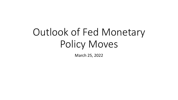# Outlook of Fed Monetary Policy Moves

March 25, 2022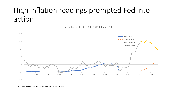#### High inflation readings prompted Fed into action

Federal Funds Effective Rate & CPI Inflation Rate



*Source: Federal Reserve Economics Data & GardenStarGroup*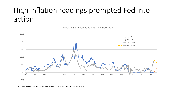### High inflation readings prompted Fed into action

-5.00 0.00 5.00 10.00 15.00 20.00 25.00 1955 1960 1965 1970 1975 1980 1985 1990 1995 2000 2005 2010 2015 2020 Historical FFER Projected FFER Historical CPI YoY **--** Projected CPI YoY

Federal Funds Effective Rate & CPI Inflation Rate

*Source: Federal Reserve Economics Data, Bureau of Labor Statistics & GardenStarGroup*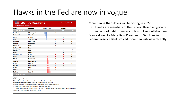#### Hawks in the Fed are now in vogue

| FOMC - Hawk/Dove Analysis     |                    |                   |                | <b>InTouch Capital Markets</b> |                           |
|-------------------------------|--------------------|-------------------|----------------|--------------------------------|---------------------------|
| Last Update: 10 February 2022 |                    |                   |                |                                |                           |
| <b>Name</b>                   | <b>Position</b>    | <b>Hawk Scale</b> |                | Voter?                         |                           |
| <b>Most Dovish</b>            |                    |                   | 2022           | 2023                           | 2024                      |
| Kashkari                      | <b>Minneapolis</b> |                   | $\mathbf x$    | ✓                              | ×                         |
| Brainard*                     | <b>Vice Chair</b>  |                   | ✓              | ✓                              | ✓                         |
| <b>Evans</b>                  | Chicago            |                   | $\mathbf x$    | ✓                              | $\pmb{\times}$            |
| <b>Daly</b>                   | San Francisco      |                   | $\pmb{\times}$ | $\pmb{\times}$                 | ✓                         |
| <b>Williams</b>               | <b>New York</b>    |                   | ✓              | ✓                              | ✓                         |
| <b>Powell</b>                 | Chairman           |                   | ✓              | ✓                              | ✓                         |
| <b>Bowman</b>                 | <b>Board</b>       |                   | ✓              | ✓                              | ✓                         |
| Jefferson**                   | <b>Board</b>       |                   | ✓              | ✓                              | ✓                         |
| Raskin***                     | <b>Board</b>       |                   | ✓              | ✓                              | ✓                         |
| Cook****                      | <b>Board</b>       |                   | ✓              | ✓                              | ✓                         |
| Montgomery*****               | <b>Boston</b>      |                   | $\mathbf x$    | $\mathbf x$                    | $\boldsymbol{\mathsf{x}}$ |
| <b>Barkin</b>                 | Richmond           |                   | $\mathbf x$    | ×                              | ✓                         |
| <b>Mester</b>                 | <b>Cleveland</b>   |                   | ✓              | $\mathbf x$                    | ✓                         |
| George                        | <b>Kansas City</b> |                   | ✓              | $\mathbf x$                    | $\boldsymbol{\mathsf{x}}$ |
| <b>Bostic</b>                 | Atlanta            |                   | $\mathbf x$    | $\mathbf x$                    | ✓                         |
| <b>Harker</b>                 | Philadelphia       |                   | ✓              | ✓                              | $\pmb{\times}$            |
| <b>Black</b>                  | <b>Dallas</b>      |                   | $\mathbf x$    | ✓                              | $\pmb{\times}$            |
| <b>Waller</b>                 | <b>Board</b>       |                   | ✓              | ✓                              | ✓                         |
| <b>Bullard</b>                | <b>St Louis</b>    |                   | $\checkmark$   | $\pmb{\times}$                 | ×                         |
| Most Hawkish                  |                    |                   |                |                                |                           |

#### **Notes**

2022 Voting members in bold

\*Board Member Brainard is expected to replace Clarida as Vice Chair

\*\* Philip Jefferson is expected to replace Brainard as Board Member

\*\*\*Board Member Quarles is expected to be replaced from Sarah Bloom Raskin

\*\*\*\*Lisa Cook will be nominated for vacant board member seat

\*\*\*\*\*Fed's Harker has voting rights in the H1 of 2022. On 1st July, Susan Collins will be the new President of the Federal Reserve Bank of Boston and a voter

- More hawks than doves will be voting in 2022
	- Hawks are members of the Federal Reserve typically in favor of tight monetary policy to keep inflation low.
- Even a dove like Mary Daly, President of San Francisco Federal Reserve Bank, voiced more hawkish view recently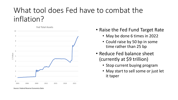#### What tool does Fed have to combat the inflation?



- May be done 6 times in 2022
- Could raise by 50 bp in some time rather than 25 bp
- Reduce Fed balance sheet (currently at \$9 trillion)
	- Stop current buying program
	- May start to sell some or just let it taper

*Source: Federal Reserve Economics Data*

<sup>•</sup> Raise the Fed Fund Target Rate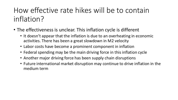### How effective rate hikes will be to contain inflation?

- The effectiveness is unclear. This inflation cycle is different
	- It doesn't appear that the inflation is due to an overheating in economic activities. There has been a great slowdown in M2 velocity
	- Labor costs have become a prominent component in inflation
	- Federal spending may be the main driving force in this inflation cycle
	- Another major driving force has been supply chain disruptions
	- Future international market disruption may continue to drive inflation in the medium term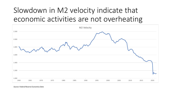# Slowdown in M2 velocity indicate that economic activities are not overheating



*Source: Federal Reserve Economics Data*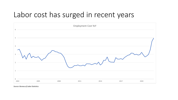#### Labor cost has surged in recent years



*Source: Bureau of Labor Statistics*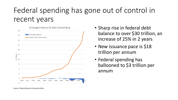# Federal spending has gone out of control in recent years



- Sharp rise in federal debt balance to over \$30 trillion, an increase of 25% in 2 years
- New issuance pace is \$18 trillion per annum
- Federal spending has ballooned to \$3 trillion per annum

*Source: Federal Reserve Economics Data*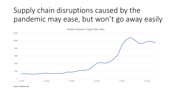# Supply chain disruptions caused by the pandemic may ease, but won't go away easily



*Source: Statista.com*